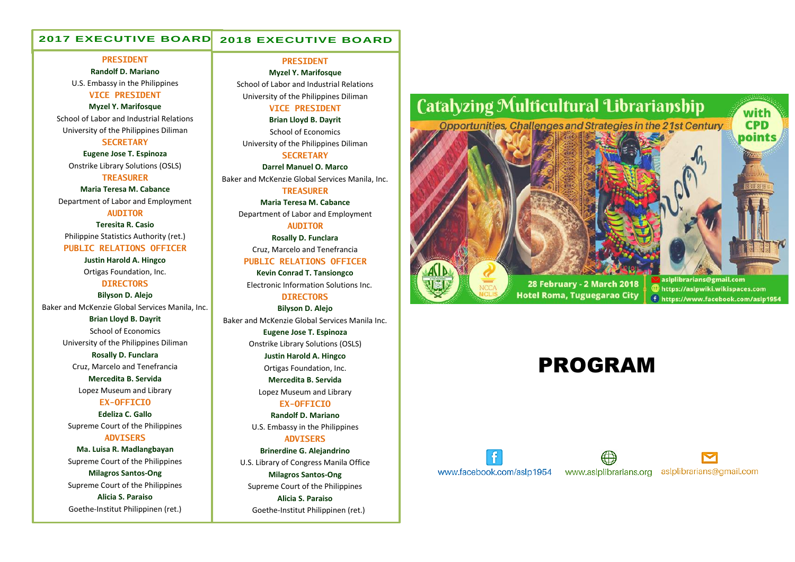#### **2017 EXECUTIVE BOARD 2018 EXECUTIVE BOARD**

#### **PRESIDENT**

**Randolf D. Mariano** U.S. Embassy in the Philippines **VICE PRESIDENT**

#### **Myzel Y. Marifosque**

School of Labor and Industrial Relations University of the Philippines Diliman **SECRETARY**

**Eugene Jose T. Espinoza** Onstrike Library Solutions (OSLS)

**TREASURER**

**Maria Teresa M. Cabance** Department of Labor and Employment

### **AUDITOR**

**Teresita R. Casio** Philippine Statistics Authority (ret.)

**PUBLIC RELATIONS OFFICER**

**Justin Harold A. Hingco** Ortigas Foundation, Inc.

## **DIRECTORS**

**Bilyson D. Alejo** Baker and McKenzie Global Services Manila, Inc.

> **Brian Lloyd B. Dayrit** School of Economics University of the Philippines Diliman

**Rosally D. Funclara** Cruz, Marcelo and Tenefrancia **Mercedita B. Servida**

Lopez Museum and Library

### **EX-OFFICIO**

**Edeliza C. Gallo** Supreme Court of the Philippines **ADVISERS**

**Ma. Luisa R. Madlangbayan** Supreme Court of the Philippines **Milagros Santos-Ong** Supreme Court of the Philippines **Alicia S. Paraiso** Goethe-Institut Philippinen (ret.)

#### **PRESIDENT**

**Myzel Y. Marifosque** School of Labor and Industrial Relations University of the Philippines Diliman

#### **VICE PRESIDENT**

**Brian Lloyd B. Dayrit** School of Economics University of the Philippines Diliman

### **SECRETARY**

**Darrel Manuel O. Marco** Baker and McKenzie Global Services Manila, Inc. **TREASURER**

> **Maria Teresa M. Cabance** Department of Labor and Employment

**AUDITOR Rosally D. Funclara**

Cruz, Marcelo and Tenefrancia

### **PUBLIC RELATIONS OFFICER**

**Kevin Conrad T. Tansiongco** Electronic Information Solutions Inc.

**DIRECTORS Bilyson D. Alejo**

Baker and McKenzie Global Services Manila Inc.

**Eugene Jose T. Espinoza** Onstrike Library Solutions (OSLS)

**Justin Harold A. Hingco** Ortigas Foundation, Inc. **Mercedita B. Servida**

Lopez Museum and Library

**EX-OFFICIO Randolf D. Mariano** U.S. Embassy in the Philippines

**ADVISERS**

**Brinerdine G. Alejandrino** U.S. Library of Congress Manila Office **Milagros Santos-Ong** Supreme Court of the Philippines **Alicia S. Paraiso** Goethe-Institut Philippinen (ret.)



## PROGRAM

# www.facebook.com/aslp1954



aslplibrarians@gmail.com